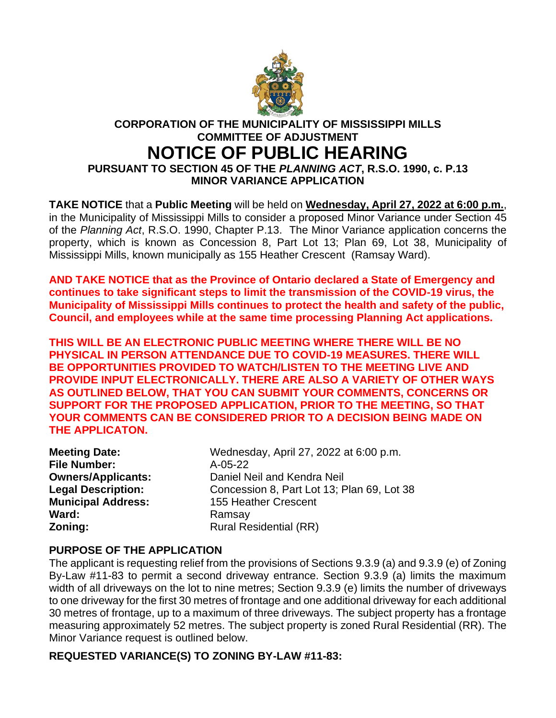

## **CORPORATION OF THE MUNICIPALITY OF MISSISSIPPI MILLS COMMITTEE OF ADJUSTMENT NOTICE OF PUBLIC HEARING**

**PURSUANT TO SECTION 45 OF THE** *PLANNING ACT***, R.S.O. 1990, c. P.13 MINOR VARIANCE APPLICATION**

**TAKE NOTICE** that a **Public Meeting** will be held on **Wednesday, April 27, 2022 at 6:00 p.m.**, in the Municipality of Mississippi Mills to consider a proposed Minor Variance under Section 45 of the *Planning Act*, R.S.O. 1990, Chapter P.13. The Minor Variance application concerns the property, which is known as Concession 8, Part Lot 13; Plan 69, Lot 38, Municipality of Mississippi Mills, known municipally as 155 Heather Crescent (Ramsay Ward).

**AND TAKE NOTICE that as the Province of Ontario declared a State of Emergency and continues to take significant steps to limit the transmission of the COVID-19 virus, the Municipality of Mississippi Mills continues to protect the health and safety of the public, Council, and employees while at the same time processing Planning Act applications.**

**THIS WILL BE AN ELECTRONIC PUBLIC MEETING WHERE THERE WILL BE NO PHYSICAL IN PERSON ATTENDANCE DUE TO COVID-19 MEASURES. THERE WILL BE OPPORTUNITIES PROVIDED TO WATCH/LISTEN TO THE MEETING LIVE AND PROVIDE INPUT ELECTRONICALLY. THERE ARE ALSO A VARIETY OF OTHER WAYS AS OUTLINED BELOW, THAT YOU CAN SUBMIT YOUR COMMENTS, CONCERNS OR SUPPORT FOR THE PROPOSED APPLICATION, PRIOR TO THE MEETING, SO THAT YOUR COMMENTS CAN BE CONSIDERED PRIOR TO A DECISION BEING MADE ON THE APPLICATON.**

| <b>Meeting Date:</b>      |
|---------------------------|
| <b>File Number:</b>       |
| <b>Owners/Applicants:</b> |
| <b>Legal Description:</b> |
| <b>Municipal Address:</b> |
| Ward:                     |
| Zoning:                   |

Wednesday, April 27, 2022 at 6:00 p.m. **File Number:** A-05-22 **Daniel Neil and Kendra Neil Legal Description:** Concession 8, Part Lot 13; Plan 69, Lot 38 **155 Heather Crescent Ward:** Ramsay **Rural Residential (RR)** 

## **PURPOSE OF THE APPLICATION**

The applicant is requesting relief from the provisions of Sections 9.3.9 (a) and 9.3.9 (e) of Zoning By-Law #11-83 to permit a second driveway entrance. Section 9.3.9 (a) limits the maximum width of all driveways on the lot to nine metres; Section 9.3.9 (e) limits the number of driveways to one driveway for the first 30 metres of frontage and one additional driveway for each additional 30 metres of frontage, up to a maximum of three driveways. The subject property has a frontage measuring approximately 52 metres. The subject property is zoned Rural Residential (RR). The Minor Variance request is outlined below.

## **REQUESTED VARIANCE(S) TO ZONING BY-LAW #11-83:**